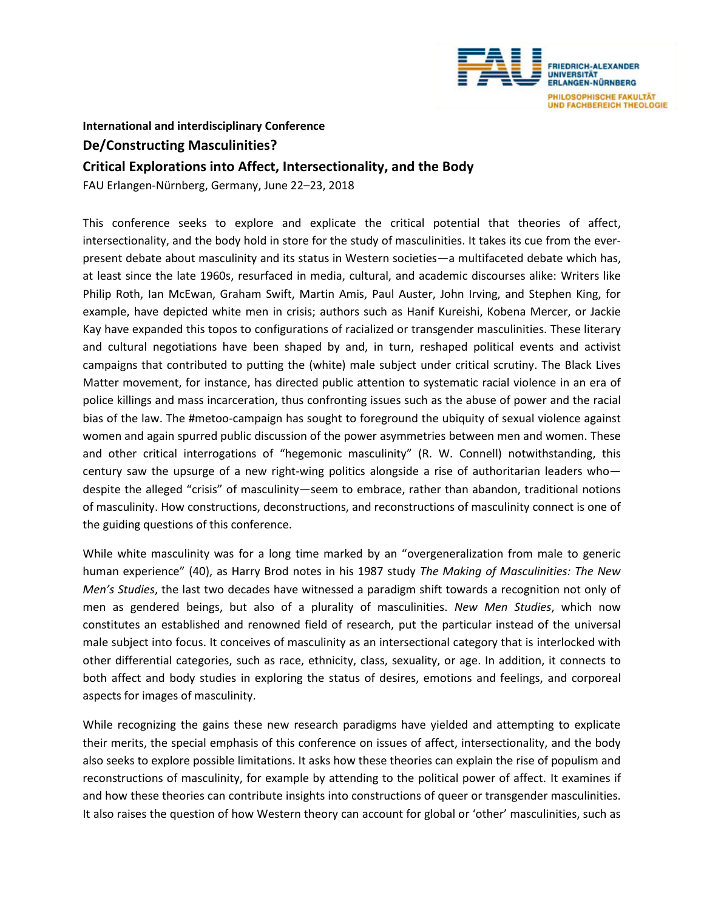

**International and interdisciplinary Conference**

## **De/Constructing Masculinities?**

## **Critical Explorations into Affect, Intersectionality, and the Body**

FAU Erlangen-Nürnberg, Germany, June 22–23, 2018

This conference seeks to explore and explicate the critical potential that theories of affect, intersectionality, and the body hold in store for the study of masculinities. It takes its cue from the everpresent debate about masculinity and its status in Western societies—a multifaceted debate which has, at least since the late 1960s, resurfaced in media, cultural, and academic discourses alike: Writers like Philip Roth, Ian McEwan, Graham Swift, Martin Amis, Paul Auster, John Irving, and Stephen King, for example, have depicted white men in crisis; authors such as Hanif Kureishi, Kobena Mercer, or Jackie Kay have expanded this topos to configurations of racialized or transgender masculinities. These literary and cultural negotiations have been shaped by and, in turn, reshaped political events and activist campaigns that contributed to putting the (white) male subject under critical scrutiny. The Black Lives Matter movement, for instance, has directed public attention to systematic racial violence in an era of police killings and mass incarceration, thus confronting issues such as the abuse of power and the racial bias of the law. The #metoo-campaign has sought to foreground the ubiquity of sexual violence against women and again spurred public discussion of the power asymmetries between men and women. These and other critical interrogations of "hegemonic masculinity" (R. W. Connell) notwithstanding, this century saw the upsurge of a new right-wing politics alongside a rise of authoritarian leaders who despite the alleged "crisis" of masculinity—seem to embrace, rather than abandon, traditional notions of masculinity. How constructions, deconstructions, and reconstructions of masculinity connect is one of the guiding questions of this conference.

While white masculinity was for a long time marked by an "overgeneralization from male to generic human experience" (40), as Harry Brod notes in his 1987 study *The Making of Masculinities: The New Men's Studies*, the last two decades have witnessed a paradigm shift towards a recognition not only of men as gendered beings, but also of a plurality of masculinities. *New Men Studies*, which now constitutes an established and renowned field of research, put the particular instead of the universal male subject into focus. It conceives of masculinity as an intersectional category that is interlocked with other differential categories, such as race, ethnicity, class, sexuality, or age. In addition, it connects to both affect and body studies in exploring the status of desires, emotions and feelings, and corporeal aspects for images of masculinity.

While recognizing the gains these new research paradigms have yielded and attempting to explicate their merits, the special emphasis of this conference on issues of affect, intersectionality, and the body also seeks to explore possible limitations. It asks how these theories can explain the rise of populism and reconstructions of masculinity, for example by attending to the political power of affect. It examines if and how these theories can contribute insights into constructions of queer or transgender masculinities. It also raises the question of how Western theory can account for global or 'other' masculinities, such as